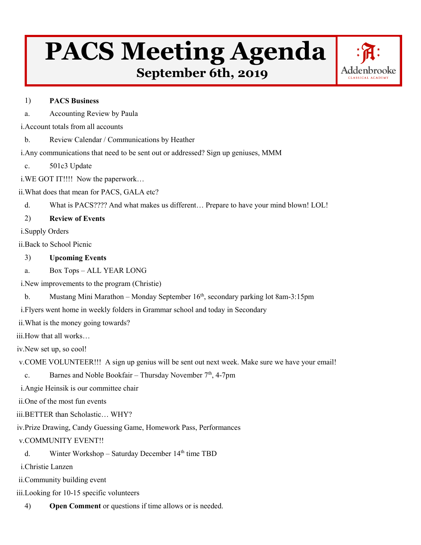## **PACS Meeting Agenda September 6th, 2019**



## 1) **PACS Business**

- a. Accounting Review by Paula
- i.Account totals from all accounts
- b. Review Calendar / Communications by Heather

i.Any communications that need to be sent out or addressed? Sign up geniuses, MMM

c. 501c3 Update

i.WE GOT IT!!!! Now the paperwork…

ii.What does that mean for PACS, GALA etc?

d. What is PACS???? And what makes us different… Prepare to have your mind blown! LOL!

## 2) **Review of Events**

i.Supply Orders

ii.Back to School Picnic

- 3) **Upcoming Events**
- a. Box Tops ALL YEAR LONG

i.New improvements to the program (Christie)

b. Mustang Mini Marathon – Monday September  $16<sup>th</sup>$ , secondary parking lot 8am-3:15pm

i.Flyers went home in weekly folders in Grammar school and today in Secondary

ii.What is the money going towards?

iii.How that all works…

iv.New set up, so cool!

v.COME VOLUNTEER!!! A sign up genius will be sent out next week. Make sure we have your email!

c. Barnes and Noble Bookfair – Thursday November  $7<sup>th</sup>$ , 4-7pm

i.Angie Heinsik is our committee chair

ii.One of the most fun events

iii.BETTER than Scholastic… WHY?

iv.Prize Drawing, Candy Guessing Game, Homework Pass, Performances

v.COMMUNITY EVENT!!

d. Winter Workshop – Saturday December  $14<sup>th</sup>$  time TBD

i.Christie Lanzen

ii.Community building event

iii.Looking for 10-15 specific volunteers

4) **Open Comment** or questions if time allows or is needed.